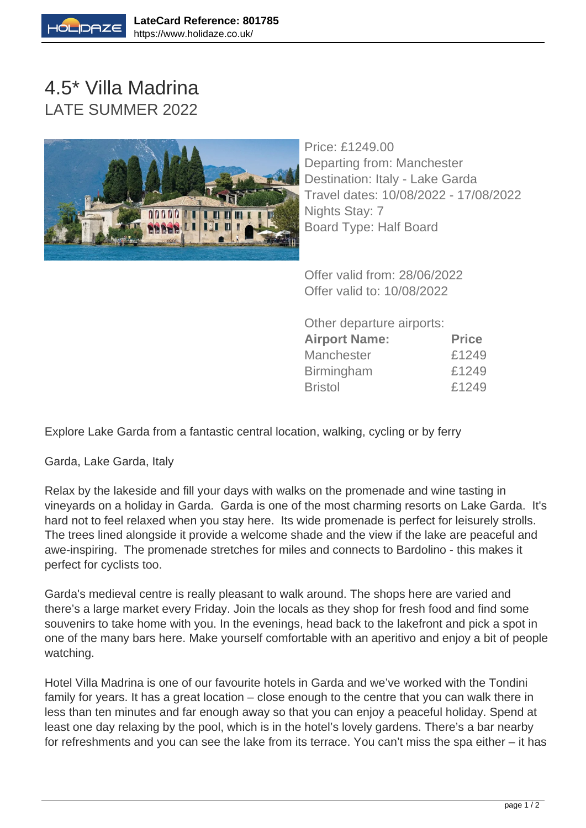

## 4.5\* Villa Madrina LATE SUMMER 2022



Price: £1249.00 Departing from: Manchester Destination: Italy - Lake Garda Travel dates: 10/08/2022 - 17/08/2022 Nights Stay: 7 Board Type: Half Board

Offer valid from: 28/06/2022 Offer valid to: 10/08/2022

Other departure airports:

| <b>Airport Name:</b> | <b>Price</b> |
|----------------------|--------------|
| Manchester           | £1249        |
| <b>Birmingham</b>    | £1249        |
| <b>Bristol</b>       | £1249        |

Explore Lake Garda from a fantastic central location, walking, cycling or by ferry

Garda, Lake Garda, Italy

Relax by the lakeside and fill your days with walks on the promenade and wine tasting in vineyards on a holiday in Garda. Garda is one of the most charming resorts on Lake Garda. It's hard not to feel relaxed when you stay here. Its wide promenade is perfect for leisurely strolls. The trees lined alongside it provide a welcome shade and the view if the lake are peaceful and awe-inspiring. The promenade stretches for miles and connects to Bardolino - this makes it perfect for cyclists too.

Garda's medieval centre is really pleasant to walk around. The shops here are varied and there's a large market every Friday. Join the locals as they shop for fresh food and find some souvenirs to take home with you. In the evenings, head back to the lakefront and pick a spot in one of the many bars here. Make yourself comfortable with an aperitivo and enjoy a bit of people watching.

Hotel Villa Madrina is one of our favourite hotels in Garda and we've worked with the Tondini family for years. It has a great location – close enough to the centre that you can walk there in less than ten minutes and far enough away so that you can enjoy a peaceful holiday. Spend at least one day relaxing by the pool, which is in the hotel's lovely gardens. There's a bar nearby for refreshments and you can see the lake from its terrace. You can't miss the spa either – it has